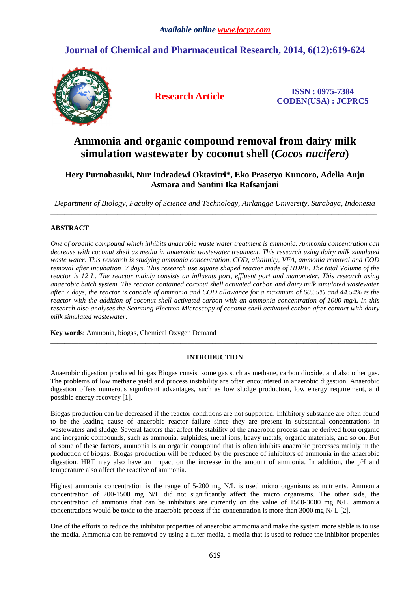## **Journal of Chemical and Pharmaceutical Research, 2014, 6(12):619-624**



**Research Article ISSN : 0975-7384 CODEN(USA) : JCPRC5**

# **Ammonia and organic compound removal from dairy milk simulation wastewater by coconut shell (***Cocos nucifera***)**

## **Hery Purnobasuki, Nur Indradewi Oktavitri\*, Eko Prasetyo Kuncoro, Adelia Anju Asmara and Santini Ika Rafsanjani**

*Department of Biology, Faculty of Science and Technology, Airlangga University, Surabaya, Indonesia*  \_\_\_\_\_\_\_\_\_\_\_\_\_\_\_\_\_\_\_\_\_\_\_\_\_\_\_\_\_\_\_\_\_\_\_\_\_\_\_\_\_\_\_\_\_\_\_\_\_\_\_\_\_\_\_\_\_\_\_\_\_\_\_\_\_\_\_\_\_\_\_\_\_\_\_\_\_\_\_\_\_\_\_\_\_\_\_\_\_\_\_\_\_

### **ABSTRACT**

*One of organic compound which inhibits anaerobic waste water treatment is ammonia. Ammonia concentration can decrease with coconut shell as media in anaerobic wastewater treatment. This research using dairy milk simulated waste water. This research is studying ammonia concentration, COD, alkalinity, VFA, ammonia removal and COD removal after incubation 7 days. This research use square shaped reactor made of HDPE. The total Volume of the reactor is 12 L. The reactor mainly consists an influents port, effluent port and manometer. This research using anaerobic batch system. The reactor contained coconut shell activated carbon and dairy milk simulated wastewater after 7 days, the reactor is capable of ammonia and COD allowance for a maximum of 60.55% and 44.54% is the reactor with the addition of coconut shell activated carbon with an ammonia concentration of 1000 mg/L In this research also analyses the Scanning Electron Microscopy of coconut shell activated carbon after contact with dairy milk simulated wastewater*.

**Key words**: Ammonia, biogas, Chemical Oxygen Demand

### **INTRODUCTION**

\_\_\_\_\_\_\_\_\_\_\_\_\_\_\_\_\_\_\_\_\_\_\_\_\_\_\_\_\_\_\_\_\_\_\_\_\_\_\_\_\_\_\_\_\_\_\_\_\_\_\_\_\_\_\_\_\_\_\_\_\_\_\_\_\_\_\_\_\_\_\_\_\_\_\_\_\_\_\_\_\_\_\_\_\_\_\_\_\_\_\_\_\_

Anaerobic digestion produced biogas Biogas consist some gas such as methane, carbon dioxide, and also other gas. The problems of low methane yield and process instability are often encountered in anaerobic digestion. Anaerobic digestion offers numerous significant advantages, such as low sludge production, low energy requirement, and possible energy recovery [1].

Biogas production can be decreased if the reactor conditions are not supported. Inhibitory substance are often found to be the leading cause of anaerobic reactor failure since they are present in substantial concentrations in wastewaters and sludge. Several factors that affect the stability of the anaerobic process can be derived from organic and inorganic compounds, such as ammonia, sulphides, metal ions, heavy metals, organic materials, and so on. But of some of these factors, ammonia is an organic compound that is often inhibits anaerobic processes mainly in the production of biogas. Biogas production will be reduced by the presence of inhibitors of ammonia in the anaerobic digestion. HRT may also have an impact on the increase in the amount of ammonia. In addition, the pH and temperature also affect the reactive of ammonia.

Highest ammonia concentration is the range of 5-200 mg N/L is used micro organisms as nutrients. Ammonia concentration of 200-1500 mg N/L did not significantly affect the micro organisms. The other side, the concentration of ammonia that can be inhibitors are currently on the value of 1500-3000 mg N/L. ammonia concentrations would be toxic to the anaerobic process if the concentration is more than 3000 mg N/ L [2].

One of the efforts to reduce the inhibitor properties of anaerobic ammonia and make the system more stable is to use the media. Ammonia can be removed by using a filter media, a media that is used to reduce the inhibitor properties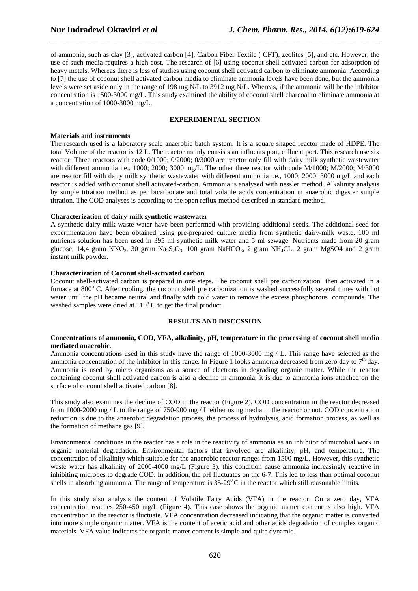of ammonia, such as clay [3], activated carbon [4], Carbon Fiber Textile ( CFT), zeolites [5], and etc. However, the use of such media requires a high cost. The research of [6] using coconut shell activated carbon for adsorption of heavy metals. Whereas there is less of studies using coconut shell activated carbon to eliminate ammonia. According to [7] the use of coconut shell activated carbon media to eliminate ammonia levels have been done, but the ammonia levels were set aside only in the range of 198 mg N/L to 3912 mg N/L. Whereas, if the ammonia will be the inhibitor concentration is 1500-3000 mg/L. This study examined the ability of coconut shell charcoal to eliminate ammonia at a concentration of 1000-3000 mg/L.

*\_\_\_\_\_\_\_\_\_\_\_\_\_\_\_\_\_\_\_\_\_\_\_\_\_\_\_\_\_\_\_\_\_\_\_\_\_\_\_\_\_\_\_\_\_\_\_\_\_\_\_\_\_\_\_\_\_\_\_\_\_\_\_\_\_\_\_\_\_\_\_\_\_\_\_\_\_\_*

#### **EXPERIMENTAL SECTION**

#### **Materials and instruments**

The research used is a laboratory scale anaerobic batch system. It is a square shaped reactor made of HDPE. The total Volume of the reactor is 12 L. The reactor mainly consists an influents port, effluent port. This research use six reactor. Three reactors with code 0/1000; 0/2000; 0/3000 are reactor only fill with dairy milk synthetic wastewater with different ammonia i.e., 1000; 2000; 3000 mg/L. The other three reactor with code M/1000; M/2000; M/3000 are reactor fill with dairy milk synthetic wastewater with different ammonia i.e., 1000; 2000; 3000 mg/L and each reactor is added with coconut shell activated-carbon. Ammonia is analysed with nessler method. Alkalinity analysis by simple titration method as per bicarbonate and total volatile acids concentration in anaerobic digester simple titration. The COD analyses is according to the open reflux method described in standard method.

#### **Characterization of dairy-milk synthetic wastewater**

A synthetic dairy-milk waste water have been performed with providing additional seeds. The additional seed for experimentation have been obtained using pre-prepared culture media from synthetic dairy-milk waste. 100 ml nutrients solution has been used in 395 ml synthetic milk water and 5 ml sewage. Nutrients made from 20 gram glucose, 14,4 gram KNO<sub>3</sub>, 30 gram Na<sub>2</sub>S<sub>2</sub>O<sub>3</sub>, 100 gram NaHCO<sub>3</sub>, 2 gram NH<sub>4</sub>CL, 2 gram MgSO4 and 2 gram instant milk powder.

#### **Characterization of Coconut shell-activated carbon**

Coconut shell-activated carbon is prepared in one steps. The coconut shell pre carbonization then activated in a furnace at 800° C. After cooling, the coconut shell pre carbonization is washed successfully several times with hot water until the pH became neutral and finally with cold water to remove the excess phosphorous compounds. The washed samples were dried at  $110^{\circ}$  C to get the final product.

#### **RESULTS AND DISCCSSION**

#### **Concentrations of ammonia, COD, VFA, alkalinity, pH, temperature in the processing of coconut shell media mediated anaerobic**.

Ammonia concentrations used in this study have the range of 1000-3000 mg / L. This range have selected as the ammonia concentration of the inhibitor in this range. In Figure 1 looks ammonia decreased from zero day to  $7<sup>th</sup>$  day. Ammonia is used by micro organisms as a source of electrons in degrading organic matter. While the reactor containing coconut shell activated carbon is also a decline in ammonia, it is due to ammonia ions attached on the surface of coconut shell activated carbon [8].

This study also examines the decline of COD in the reactor (Figure 2). COD concentration in the reactor decreased from 1000-2000 mg / L to the range of 750-900 mg / L either using media in the reactor or not. COD concentration reduction is due to the anaerobic degradation process, the process of hydrolysis, acid formation process, as well as the formation of methane gas [9].

Environmental conditions in the reactor has a role in the reactivity of ammonia as an inhibitor of microbial work in organic material degradation. Environmental factors that involved are alkalinity, pH, and temperature. The concentration of alkalinity which suitable for the anaerobic reactor ranges from 1500 mg/L. However, this synthetic waste water has alkalinity of 2000-4000 mg/L (Figure 3), this condition cause ammonia increasingly reactive in inhibiting microbes to degrade COD. In addition, the pH fluctuates on the 6-7. This led to less than optimal coconut shells in absorbing ammonia. The range of temperature is  $35{\text -}29^{\circ}$ C in the reactor which still reasonable limits.

In this study also analysis the content of Volatile Fatty Acids (VFA) in the reactor. On a zero day, VFA concentration reaches 250-450 mg/L (Figure 4). This case shows the organic matter content is also high. VFA concentration in the reactor is fluctuate. VFA concentration decreased indicating that the organic matter is converted into more simple organic matter. VFA is the content of acetic acid and other acids degradation of complex organic materials. VFA value indicates the organic matter content is simple and quite dynamic.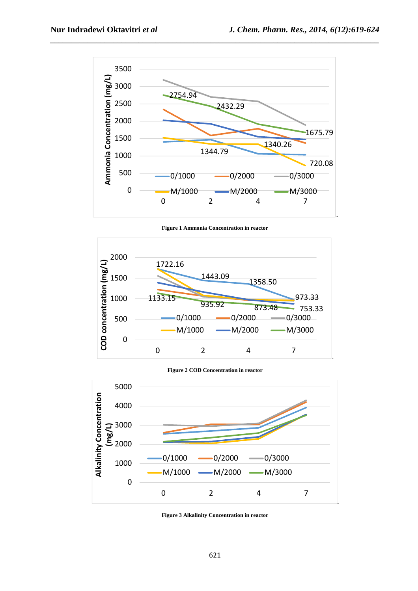

*\_\_\_\_\_\_\_\_\_\_\_\_\_\_\_\_\_\_\_\_\_\_\_\_\_\_\_\_\_\_\_\_\_\_\_\_\_\_\_\_\_\_\_\_\_\_\_\_\_\_\_\_\_\_\_\_\_\_\_\_\_\_\_\_\_\_\_\_\_\_\_\_\_\_\_\_\_\_*

**Figure 1 Ammonia Concentration in reactor** 



**Figure 2 COD Concentration in reactor** 



**Figure 3 Alkalinity Concentration in reactor**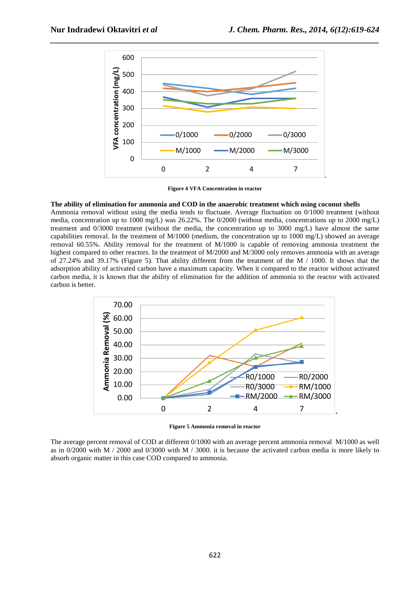

**Figure 4 VFA Concentration in reactor** 

#### **The ability of elimination for ammonia and COD in the anaerobic treatment which using coconut shells**

Ammonia removal without using the media tends to fluctuate. Average fluctuation on 0/1000 treatment (without media, concentration up to 1000 mg/L) was 26.22%. The 0/2000 (without media, concentrations up to 2000 mg/L) treatment and 0/3000 treatment (without the media, the concentration up to 3000 mg/L) have almost the same capabilities removal. In the treatment of M/1000 (medium, the concentration up to 1000 mg/L) showed an average removal 60.55%. Ability removal for the treatment of M/1000 is capable of removing ammonia treatment the highest compared to other reactors. In the treatment of M/2000 and M/3000 only removes ammonia with an average of 27.24% and 39.17% (Figure 5). That ability different from the treatment of the M / 1000. It shows that the adsorption ability of activated carbon have a maximum capacity. When it compared to the reactor without activated carbon media, it is known that the ability of elimination for the addition of ammonia to the reactor with activated carbon is better.



**Figure 5 Ammonia removal in reactor** 

The average percent removal of COD at different 0/1000 with an average percent ammonia removal M/1000 as well as in 0/2000 with M / 2000 and 0/3000 with M / 3000. it is because the activated carbon media is more likely to absorb organic matter in this case COD compared to ammonia.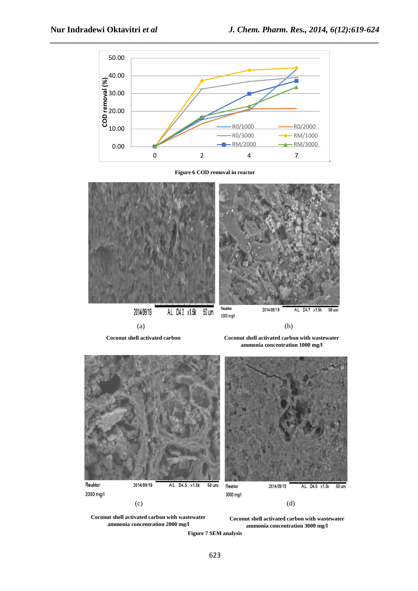

**Figure 6 COD removal in reactor** 



**Coconut shell activated carbon Coconut shell activated carbon with wastewater ammonia concentration 1000 mg/l**



**Coconut shell activated carbon with wastewater ammonia concentration 2000 mg/l**

**Coconut shell activated carbon with wastewater ammonia concentration 3000 mg/l**

**Figure 7 SEM analysis**